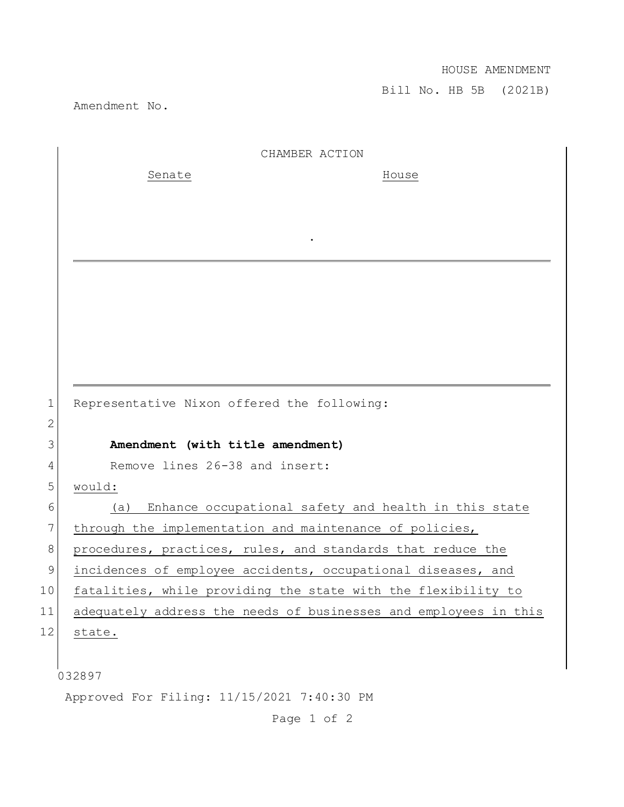## HOUSE AMENDMENT

Bill No. HB 5B (2021B)

Amendment No.

|                 | CHAMBER ACTION                                                   |
|-----------------|------------------------------------------------------------------|
|                 | Senate<br>House                                                  |
|                 |                                                                  |
|                 |                                                                  |
|                 |                                                                  |
|                 |                                                                  |
|                 |                                                                  |
|                 |                                                                  |
|                 |                                                                  |
|                 |                                                                  |
|                 |                                                                  |
| 1               | Representative Nixon offered the following:                      |
| 2               |                                                                  |
| 3               | Amendment (with title amendment)                                 |
| 4               | Remove lines 26-38 and insert:                                   |
| 5               | would:                                                           |
| 6               | Enhance occupational safety and health in this state<br>(a)      |
| 7               | through the implementation and maintenance of policies,          |
| 8               | procedures, practices, rules, and standards that reduce the      |
| 9               | incidences of employee accidents, occupational diseases, and     |
| 10 <sub>l</sub> | fatalities, while providing the state with the flexibility to    |
| 11              | adequately address the needs of businesses and employees in this |
| 12              | state.                                                           |
|                 |                                                                  |
|                 | 032897                                                           |
|                 | Approved For Filing: 11/15/2021 7:40:30 PM                       |

Page 1 of 2